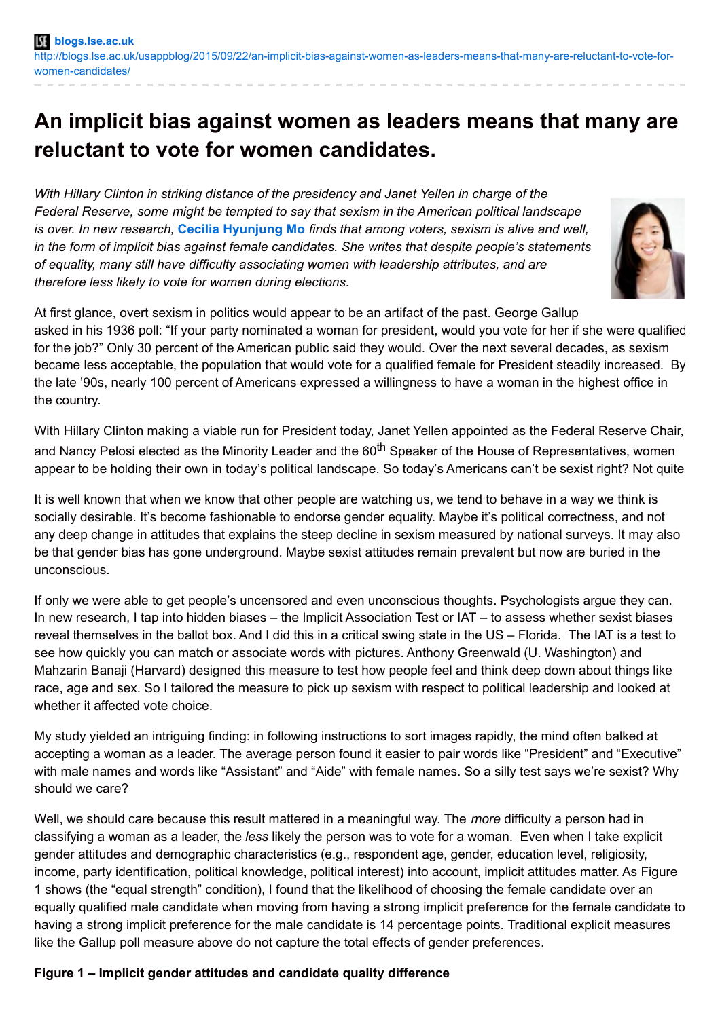## **An implicit bias against women as leaders means that many are reluctant to vote for women candidates.**

*With Hillary Clinton in striking distance of the presidency and Janet Yellen in charge of the Federal Reserve, some might be tempted to say that sexism in the American political landscape is over. In new research,* **Cecilia [Hyunjung](http://wp.me/p3I2YF-4bE#Author) Mo** *finds that among voters, sexism is alive and well, in the form of implicit bias against female candidates. She writes that despite people's statements of equality, many still have difficulty associating women with leadership attributes, and are therefore less likely to vote for women during elections.*



At first glance, overt sexism in politics would appear to be an artifact of the past. George Gallup asked in his 1936 poll: "If your party nominated a woman for president, would you vote for her if she were qualified for the job?" Only 30 percent of the American public said they would. Over the next several decades, as sexism became less acceptable, the population that would vote for a qualified female for President steadily increased. By the late '90s, nearly 100 percent of Americans expressed a willingness to have a woman in the highest office in the country.

With Hillary Clinton making a viable run for President today, Janet Yellen appointed as the Federal Reserve Chair, and Nancy Pelosi elected as the Minority Leader and the 60<sup>th</sup> Speaker of the House of Representatives, women appear to be holding their own in today's political landscape. So today's Americans can't be sexist right? Not quite

It is well known that when we know that other people are watching us, we tend to behave in a way we think is socially desirable. It's become fashionable to endorse gender equality. Maybe it's political correctness, and not any deep change in attitudes that explains the steep decline in sexism measured by national surveys. It may also be that gender bias has gone underground. Maybe sexist attitudes remain prevalent but now are buried in the unconscious.

If only we were able to get people's uncensored and even unconscious thoughts. Psychologists argue they can. In new research, I tap into hidden biases – the Implicit Association Test or IAT – to assess whether sexist biases reveal themselves in the ballot box. And I did this in a critical swing state in the US – Florida. The IAT is a test to see how quickly you can match or associate words with pictures. Anthony Greenwald (U. Washington) and Mahzarin Banaji (Harvard) designed this measure to test how people feel and think deep down about things like race, age and sex. So I tailored the measure to pick up sexism with respect to political leadership and looked at whether it affected vote choice.

My study yielded an intriguing finding: in following instructions to sort images rapidly, the mind often balked at accepting a woman as a leader. The average person found it easier to pair words like "President" and "Executive" with male names and words like "Assistant" and "Aide" with female names. So a silly test says we're sexist? Why should we care?

Well, we should care because this result mattered in a meaningful way. The *more* difficulty a person had in classifying a woman as a leader, the *less* likely the person was to vote for a woman. Even when I take explicit gender attitudes and demographic characteristics (e.g., respondent age, gender, education level, religiosity, income, party identification, political knowledge, political interest) into account, implicit attitudes matter. As Figure 1 shows (the "equal strength" condition), I found that the likelihood of choosing the female candidate over an equally qualified male candidate when moving from having a strong implicit preference for the female candidate to having a strong implicit preference for the male candidate is 14 percentage points. Traditional explicit measures like the Gallup poll measure above do not capture the total effects of gender preferences.

## **Figure 1 – Implicit gender attitudes and candidate quality difference**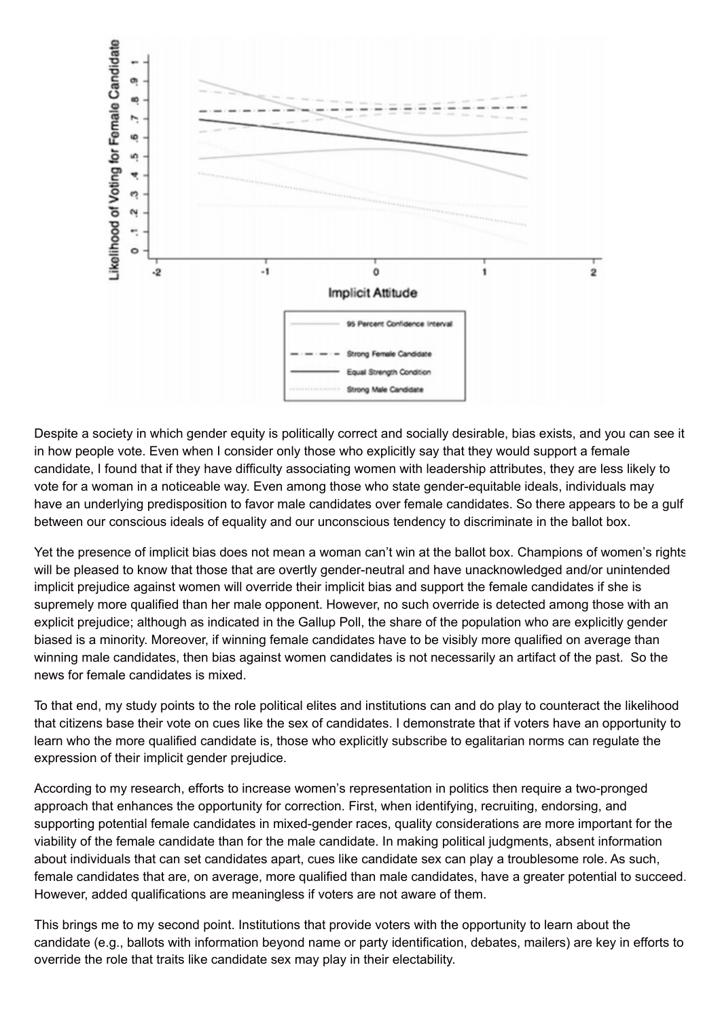

Despite a society in which gender equity is politically correct and socially desirable, bias exists, and you can see it in how people vote. Even when I consider only those who explicitly say that they would support a female candidate, I found that if they have difficulty associating women with leadership attributes, they are less likely to vote for a woman in a noticeable way. Even among those who state gender-equitable ideals, individuals may have an underlying predisposition to favor male candidates over female candidates. So there appears to be a gulf between our conscious ideals of equality and our unconscious tendency to discriminate in the ballot box.

Yet the presence of implicit bias does not mean a woman can't win at the ballot box. Champions of women's rights will be pleased to know that those that are overtly gender-neutral and have unacknowledged and/or unintended implicit prejudice against women will override their implicit bias and support the female candidates if she is supremely more qualified than her male opponent. However, no such override is detected among those with an explicit prejudice; although as indicated in the Gallup Poll, the share of the population who are explicitly gender biased is a minority. Moreover, if winning female candidates have to be visibly more qualified on average than winning male candidates, then bias against women candidates is not necessarily an artifact of the past. So the news for female candidates is mixed.

To that end, my study points to the role political elites and institutions can and do play to counteract the likelihood that citizens base their vote on cues like the sex of candidates. I demonstrate that if voters have an opportunity to learn who the more qualified candidate is, those who explicitly subscribe to egalitarian norms can regulate the expression of their implicit gender prejudice.

According to my research, efforts to increase women's representation in politics then require a two-pronged approach that enhances the opportunity for correction. First, when identifying, recruiting, endorsing, and supporting potential female candidates in mixed-gender races, quality considerations are more important for the viability of the female candidate than for the male candidate. In making political judgments, absent information about individuals that can set candidates apart, cues like candidate sex can play a troublesome role. As such, female candidates that are, on average, more qualified than male candidates, have a greater potential to succeed. However, added qualifications are meaningless if voters are not aware of them.

This brings me to my second point. Institutions that provide voters with the opportunity to learn about the candidate (e.g., ballots with information beyond name or party identification, debates, mailers) are key in efforts to override the role that traits like candidate sex may play in their electability.